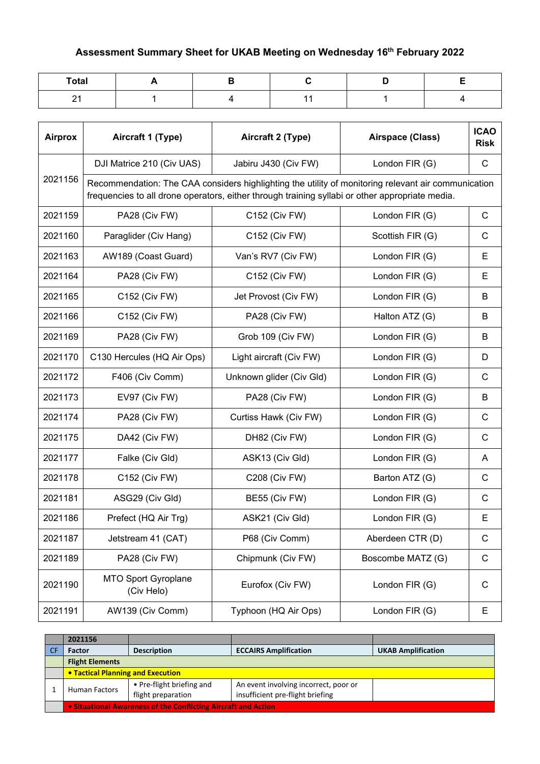## **Assessment Summary Sheet for UKAB Meeting on Wednesday 16th February 2022**

| <b>Total</b> |  |  |  |
|--------------|--|--|--|
| - -          |  |  |  |

| <b>Airprox</b> | Aircraft 1 (Type)                        | Aircraft 2 (Type)                                                                               | Airspace (Class)                                                                                    | <b>ICAO</b><br><b>Risk</b> |
|----------------|------------------------------------------|-------------------------------------------------------------------------------------------------|-----------------------------------------------------------------------------------------------------|----------------------------|
|                | DJI Matrice 210 (Civ UAS)                | Jabiru J430 (Civ FW)                                                                            | London FIR (G)                                                                                      | С                          |
| 2021156        |                                          | frequencies to all drone operators, either through training syllabi or other appropriate media. | Recommendation: The CAA considers highlighting the utility of monitoring relevant air communication |                            |
| 2021159        | PA28 (Civ FW)                            | C152 (Civ FW)                                                                                   | London FIR (G)                                                                                      | C                          |
| 2021160        | Paraglider (Civ Hang)                    | C152 (Civ FW)                                                                                   | Scottish FIR (G)                                                                                    | $\mathsf{C}$               |
| 2021163        | AW189 (Coast Guard)                      | Van's RV7 (Civ FW)                                                                              | London FIR (G)                                                                                      | Е                          |
| 2021164        | PA28 (Civ FW)                            | C152 (Civ FW)                                                                                   | London FIR (G)                                                                                      | Е                          |
| 2021165        | C152 (Civ FW)                            | Jet Provost (Civ FW)                                                                            | London FIR (G)                                                                                      | B                          |
| 2021166        | C152 (Civ FW)                            | PA28 (Civ FW)                                                                                   | Halton ATZ (G)                                                                                      | B                          |
| 2021169        | PA28 (Civ FW)                            | Grob 109 (Civ FW)                                                                               | London FIR (G)                                                                                      | B                          |
| 2021170        | C130 Hercules (HQ Air Ops)               | Light aircraft (Civ FW)                                                                         | London FIR (G)                                                                                      | D                          |
| 2021172        | F406 (Civ Comm)                          | Unknown glider (Civ Gld)                                                                        | London FIR (G)                                                                                      | $\mathsf{C}$               |
| 2021173        | EV97 (Civ FW)                            | PA28 (Civ FW)                                                                                   | London FIR (G)                                                                                      | B                          |
| 2021174        | PA28 (Civ FW)                            | Curtiss Hawk (Civ FW)                                                                           | London FIR (G)                                                                                      | C                          |
| 2021175        | DA42 (Civ FW)                            | DH82 (Civ FW)                                                                                   | London FIR (G)                                                                                      | $\mathsf{C}$               |
| 2021177        | Falke (Civ Gld)                          | ASK13 (Civ Gld)                                                                                 | London FIR (G)                                                                                      | A                          |
| 2021178        | C152 (Civ FW)                            | <b>C208 (Civ FW)</b>                                                                            | Barton ATZ (G)                                                                                      | C                          |
| 2021181        | ASG29 (Civ Gld)                          | BE55 (Civ FW)                                                                                   | London FIR (G)                                                                                      | C                          |
| 2021186        | Prefect (HQ Air Trg)                     | ASK21 (Civ Gld)                                                                                 | London FIR (G)                                                                                      | E                          |
| 2021187        | Jetstream 41 (CAT)                       | P68 (Civ Comm)                                                                                  | Aberdeen CTR (D)                                                                                    | C                          |
| 2021189        | PA28 (Civ FW)                            | Chipmunk (Civ FW)                                                                               | Boscombe MATZ (G)                                                                                   | C                          |
| 2021190        | <b>MTO Sport Gyroplane</b><br>(Civ Helo) | Eurofox (Civ FW)                                                                                | London FIR (G)                                                                                      | $\mathsf{C}$               |
| 2021191        | AW139 (Civ Comm)                         | Typhoon (HQ Air Ops)                                                                            | London FIR (G)                                                                                      | E                          |

| 2021156                                                        |                                                 |                                                                           |                           |
|----------------------------------------------------------------|-------------------------------------------------|---------------------------------------------------------------------------|---------------------------|
| <b>Factor</b>                                                  | <b>Description</b>                              | <b>ECCAIRS Amplification</b>                                              | <b>UKAB Amplification</b> |
| <b>Flight Elements</b>                                         |                                                 |                                                                           |                           |
| <b>• Tactical Planning and Execution</b>                       |                                                 |                                                                           |                           |
| <b>Human Factors</b>                                           | • Pre-flight briefing and<br>flight preparation | An event involving incorrect, poor or<br>insufficient pre-flight briefing |                           |
| . Situational Awareness of the Conflicting Aircraft and Action |                                                 |                                                                           |                           |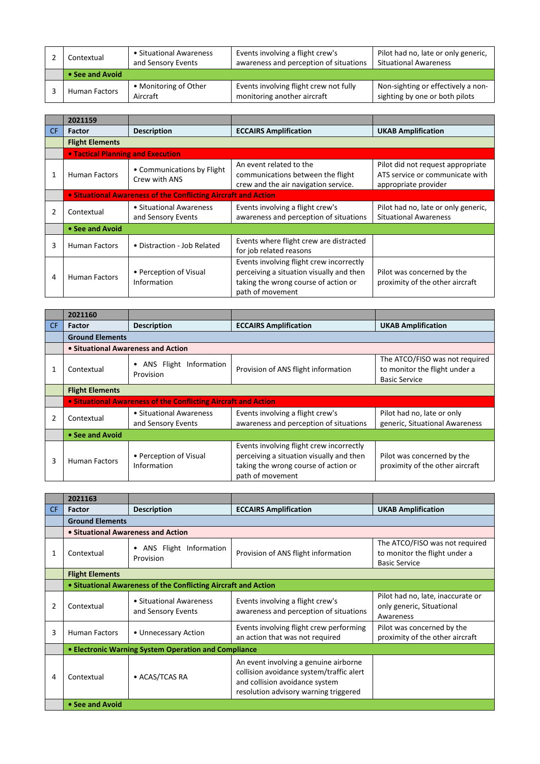| Contextual           | • Situational Awareness<br>and Sensory Events | Events involving a flight crew's<br>awareness and perception of situations | Pilot had no, late or only generic,<br><b>Situational Awareness</b>  |
|----------------------|-----------------------------------------------|----------------------------------------------------------------------------|----------------------------------------------------------------------|
| • See and Avoid      |                                               |                                                                            |                                                                      |
| <b>Human Factors</b> | • Monitoring of Other<br>Aircraft             | Events involving flight crew not fully<br>monitoring another aircraft      | Non-sighting or effectively a non-<br>sighting by one or both pilots |

|     | 2021159                           |                                                                |                                                                                                                                                  |                                                                                              |  |
|-----|-----------------------------------|----------------------------------------------------------------|--------------------------------------------------------------------------------------------------------------------------------------------------|----------------------------------------------------------------------------------------------|--|
| CF. | <b>Factor</b>                     | <b>Description</b>                                             | <b>ECCAIRS Amplification</b>                                                                                                                     | <b>UKAB Amplification</b>                                                                    |  |
|     | <b>Flight Elements</b>            |                                                                |                                                                                                                                                  |                                                                                              |  |
|     | • Tactical Planning and Execution |                                                                |                                                                                                                                                  |                                                                                              |  |
|     | <b>Human Factors</b>              | • Communications by Flight<br>Crew with ANS                    | An event related to the<br>communications between the flight<br>crew and the air navigation service.                                             | Pilot did not request appropriate<br>ATS service or communicate with<br>appropriate provider |  |
|     |                                   | • Situational Awareness of the Conflicting Aircraft and Action |                                                                                                                                                  |                                                                                              |  |
|     | Contextual                        | • Situational Awareness<br>and Sensory Events                  | Events involving a flight crew's<br>awareness and perception of situations                                                                       | Pilot had no, late or only generic,<br><b>Situational Awareness</b>                          |  |
|     | • See and Avoid                   |                                                                |                                                                                                                                                  |                                                                                              |  |
| 3   | <b>Human Factors</b>              | • Distraction - Job Related                                    | Events where flight crew are distracted<br>for job related reasons                                                                               |                                                                                              |  |
| 4   | <b>Human Factors</b>              | • Perception of Visual<br>Information                          | Events involving flight crew incorrectly<br>perceiving a situation visually and then<br>taking the wrong course of action or<br>path of movement | Pilot was concerned by the<br>proximity of the other aircraft                                |  |

|     | 2021160                |                                                                |                                                                                                                                                  |                                                                                         |  |  |
|-----|------------------------|----------------------------------------------------------------|--------------------------------------------------------------------------------------------------------------------------------------------------|-----------------------------------------------------------------------------------------|--|--|
| CF. | <b>Factor</b>          | <b>Description</b>                                             | <b>ECCAIRS Amplification</b>                                                                                                                     | <b>UKAB Amplification</b>                                                               |  |  |
|     | <b>Ground Elements</b> |                                                                |                                                                                                                                                  |                                                                                         |  |  |
|     |                        | • Situational Awareness and Action                             |                                                                                                                                                  |                                                                                         |  |  |
|     | Contextual             | ANS Flight Information<br>Provision                            | Provision of ANS flight information                                                                                                              | The ATCO/FISO was not required<br>to monitor the flight under a<br><b>Basic Service</b> |  |  |
|     | <b>Flight Elements</b> |                                                                |                                                                                                                                                  |                                                                                         |  |  |
|     |                        | • Situational Awareness of the Conflicting Aircraft and Action |                                                                                                                                                  |                                                                                         |  |  |
| 2   | Contextual             | • Situational Awareness<br>and Sensory Events                  | Events involving a flight crew's<br>awareness and perception of situations                                                                       | Pilot had no, late or only<br>generic, Situational Awareness                            |  |  |
|     | • See and Avoid        |                                                                |                                                                                                                                                  |                                                                                         |  |  |
| 3   | <b>Human Factors</b>   | • Perception of Visual<br>Information                          | Events involving flight crew incorrectly<br>perceiving a situation visually and then<br>taking the wrong course of action or<br>path of movement | Pilot was concerned by the<br>proximity of the other aircraft                           |  |  |

|     | 2021163                |                                                                |                                                                                                                                                              |                                                                                         |
|-----|------------------------|----------------------------------------------------------------|--------------------------------------------------------------------------------------------------------------------------------------------------------------|-----------------------------------------------------------------------------------------|
| CF. | Factor                 | <b>Description</b>                                             | <b>ECCAIRS Amplification</b>                                                                                                                                 | <b>UKAB Amplification</b>                                                               |
|     | <b>Ground Elements</b> |                                                                |                                                                                                                                                              |                                                                                         |
|     |                        | • Situational Awareness and Action                             |                                                                                                                                                              |                                                                                         |
|     | Contextual             | ANS Flight Information<br>$\bullet$<br>Provision               | Provision of ANS flight information                                                                                                                          | The ATCO/FISO was not required<br>to monitor the flight under a<br><b>Basic Service</b> |
|     | <b>Flight Elements</b> |                                                                |                                                                                                                                                              |                                                                                         |
|     |                        | • Situational Awareness of the Conflicting Aircraft and Action |                                                                                                                                                              |                                                                                         |
| 2   | Contextual             | • Situational Awareness<br>and Sensory Events                  | Events involving a flight crew's<br>awareness and perception of situations                                                                                   | Pilot had no, late, inaccurate or<br>only generic, Situational<br>Awareness             |
| 3   | <b>Human Factors</b>   | • Unnecessary Action                                           | Events involving flight crew performing<br>an action that was not required                                                                                   | Pilot was concerned by the<br>proximity of the other aircraft                           |
|     |                        | • Electronic Warning System Operation and Compliance           |                                                                                                                                                              |                                                                                         |
| 4   | Contextual             | • ACAS/TCAS RA                                                 | An event involving a genuine airborne<br>collision avoidance system/traffic alert<br>and collision avoidance system<br>resolution advisory warning triggered |                                                                                         |
|     | • See and Avoid        |                                                                |                                                                                                                                                              |                                                                                         |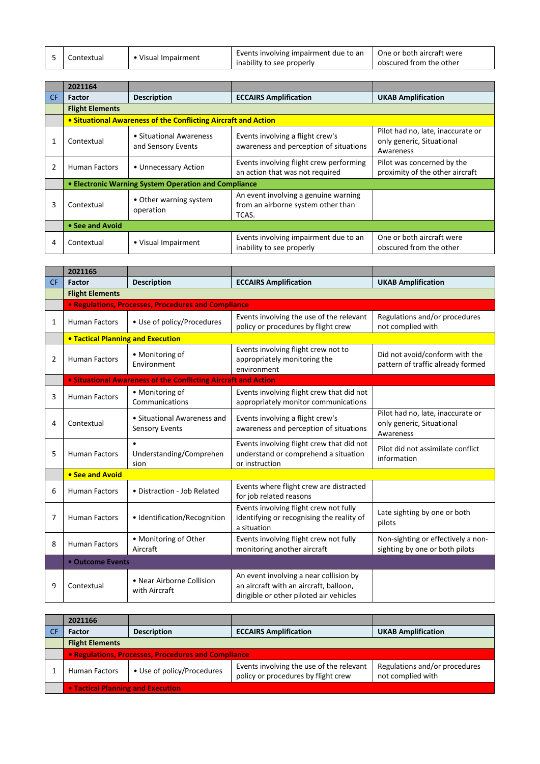| Contextual |                     | Events involving impairment due to an $\parallel$ One or both aircraft were |                         |
|------------|---------------------|-----------------------------------------------------------------------------|-------------------------|
|            | • Visual Impairment | inability to see properly                                                   | obscured from the other |

|     | 2021164                                                        |                                                      |                                                                                     |                                                                             |  |
|-----|----------------------------------------------------------------|------------------------------------------------------|-------------------------------------------------------------------------------------|-----------------------------------------------------------------------------|--|
| CF. | <b>Factor</b>                                                  | <b>Description</b>                                   | <b>ECCAIRS Amplification</b>                                                        | <b>UKAB Amplification</b>                                                   |  |
|     | <b>Flight Elements</b>                                         |                                                      |                                                                                     |                                                                             |  |
|     | • Situational Awareness of the Conflicting Aircraft and Action |                                                      |                                                                                     |                                                                             |  |
|     | Contextual                                                     | • Situational Awareness<br>and Sensory Events        | Events involving a flight crew's<br>awareness and perception of situations          | Pilot had no, late, inaccurate or<br>only generic, Situational<br>Awareness |  |
|     | Human Factors                                                  | • Unnecessary Action                                 | Events involving flight crew performing<br>an action that was not required          | Pilot was concerned by the<br>proximity of the other aircraft               |  |
|     |                                                                | • Electronic Warning System Operation and Compliance |                                                                                     |                                                                             |  |
| 3   | Contextual                                                     | • Other warning system<br>operation                  | An event involving a genuine warning<br>from an airborne system other than<br>TCAS. |                                                                             |  |
|     | • See and Avoid                                                |                                                      |                                                                                     |                                                                             |  |
| 4   | Contextual                                                     | • Visual Impairment                                  | Events involving impairment due to an<br>inability to see properly                  | One or both aircraft were<br>obscured from the other                        |  |

|           | 2021165                                  |                                                                       |                                                                                                                             |                                                                             |
|-----------|------------------------------------------|-----------------------------------------------------------------------|-----------------------------------------------------------------------------------------------------------------------------|-----------------------------------------------------------------------------|
| <b>CF</b> | Factor                                   | <b>Description</b>                                                    | <b>ECCAIRS Amplification</b>                                                                                                | <b>UKAB Amplification</b>                                                   |
|           | <b>Flight Elements</b>                   |                                                                       |                                                                                                                             |                                                                             |
|           |                                          | • Regulations, Processes, Procedures and Compliance                   |                                                                                                                             |                                                                             |
| 1         | <b>Human Factors</b>                     | • Use of policy/Procedures                                            | Events involving the use of the relevant<br>policy or procedures by flight crew                                             | Regulations and/or procedures<br>not complied with                          |
|           | <b>. Tactical Planning and Execution</b> |                                                                       |                                                                                                                             |                                                                             |
| 2         | <b>Human Factors</b>                     | • Monitoring of<br>Environment                                        | Events involving flight crew not to<br>appropriately monitoring the<br>environment                                          | Did not avoid/conform with the<br>pattern of traffic already formed         |
|           |                                          | <b>.</b> Situational Awareness of the Conflicting Aircraft and Action |                                                                                                                             |                                                                             |
| 3         | <b>Human Factors</b>                     | • Monitoring of<br>Communications                                     | Events involving flight crew that did not<br>appropriately monitor communications                                           |                                                                             |
| 4         | Contextual                               | • Situational Awareness and<br><b>Sensory Events</b>                  | Events involving a flight crew's<br>awareness and perception of situations                                                  | Pilot had no, late, inaccurate or<br>only generic, Situational<br>Awareness |
| 5         | <b>Human Factors</b>                     | Understanding/Comprehen<br>sion                                       | Events involving flight crew that did not<br>understand or comprehend a situation<br>or instruction                         | Pilot did not assimilate conflict<br>information                            |
|           | • See and Avoid                          |                                                                       |                                                                                                                             |                                                                             |
| 6         | <b>Human Factors</b>                     | • Distraction - Job Related                                           | Events where flight crew are distracted<br>for job related reasons                                                          |                                                                             |
| 7         | <b>Human Factors</b>                     | • Identification/Recognition                                          | Events involving flight crew not fully<br>identifying or recognising the reality of<br>a situation                          | Late sighting by one or both<br>pilots                                      |
| 8         | <b>Human Factors</b>                     | • Monitoring of Other<br>Aircraft                                     | Events involving flight crew not fully<br>monitoring another aircraft                                                       | Non-sighting or effectively a non-<br>sighting by one or both pilots        |
|           | • Outcome Events                         |                                                                       |                                                                                                                             |                                                                             |
| 9         | Contextual                               | • Near Airborne Collision<br>with Aircraft                            | An event involving a near collision by<br>an aircraft with an aircraft, balloon,<br>dirigible or other piloted air vehicles |                                                                             |

| 2021166                                             |                            |                                                                                 |                                                    |
|-----------------------------------------------------|----------------------------|---------------------------------------------------------------------------------|----------------------------------------------------|
| <b>Factor</b>                                       | <b>Description</b>         | <b>ECCAIRS Amplification</b>                                                    | <b>UKAB Amplification</b>                          |
| <b>Flight Elements</b>                              |                            |                                                                                 |                                                    |
| • Regulations, Processes, Procedures and Compliance |                            |                                                                                 |                                                    |
| <b>Human Factors</b>                                | • Use of policy/Procedures | Events involving the use of the relevant<br>policy or procedures by flight crew | Regulations and/or procedures<br>not complied with |
| <b>.</b> Tactical Planning and Execution            |                            |                                                                                 |                                                    |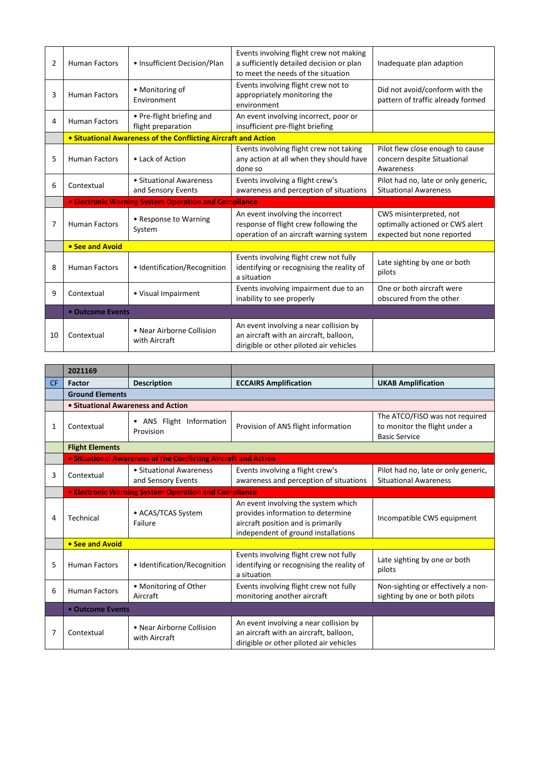| 2 | <b>Human Factors</b> | • Insufficient Decision/Plan                                   | Events involving flight crew not making<br>a sufficiently detailed decision or plan<br>to meet the needs of the situation | Inadequate plan adaption                                                     |
|---|----------------------|----------------------------------------------------------------|---------------------------------------------------------------------------------------------------------------------------|------------------------------------------------------------------------------|
| 3 | <b>Human Factors</b> | • Monitoring of<br>Environment                                 | Events involving flight crew not to<br>appropriately monitoring the<br>environment                                        | Did not avoid/conform with the<br>pattern of traffic already formed          |
| 4 | <b>Human Factors</b> | • Pre-flight briefing and<br>flight preparation                | An event involving incorrect, poor or<br>insufficient pre-flight briefing                                                 |                                                                              |
|   |                      | • Situational Awareness of the Conflicting Aircraft and Action |                                                                                                                           |                                                                              |
| 5 | <b>Human Factors</b> | • Lack of Action                                               | Events involving flight crew not taking<br>any action at all when they should have<br>done so                             | Pilot flew close enough to cause<br>concern despite Situational<br>Awareness |
| 6 | Contextual           | • Situational Awareness<br>and Sensory Events                  | Events involving a flight crew's<br>awareness and perception of situations                                                | Pilot had no, late or only generic,<br><b>Situational Awareness</b>          |
|   |                      | <b>• Electronic Warning System Operation and Compliance</b>    |                                                                                                                           |                                                                              |
| 7 | <b>Human Factors</b> | • Response to Warning<br>System                                | An event involving the incorrect<br>response of flight crew following the                                                 | CWS misinterpreted, not<br>optimally actioned or CWS alert                   |
|   |                      |                                                                | operation of an aircraft warning system                                                                                   | expected but none reported                                                   |
|   | • See and Avoid      |                                                                |                                                                                                                           |                                                                              |
| 8 | <b>Human Factors</b> | • Identification/Recognition                                   | Events involving flight crew not fully<br>identifying or recognising the reality of<br>a situation                        | Late sighting by one or both<br>pilots                                       |
| 9 | Contextual           | • Visual Impairment                                            | Events involving impairment due to an<br>inability to see properly                                                        | One or both aircraft were<br>obscured from the other                         |
|   | • Outcome Events     |                                                                |                                                                                                                           |                                                                              |

|           | 2021169                            |                                                                       |                                                                                                                                                       |                                                                                         |
|-----------|------------------------------------|-----------------------------------------------------------------------|-------------------------------------------------------------------------------------------------------------------------------------------------------|-----------------------------------------------------------------------------------------|
| <b>CF</b> | Factor                             | <b>Description</b>                                                    | <b>ECCAIRS Amplification</b>                                                                                                                          | <b>UKAB Amplification</b>                                                               |
|           | <b>Ground Elements</b>             |                                                                       |                                                                                                                                                       |                                                                                         |
|           | • Situational Awareness and Action |                                                                       |                                                                                                                                                       |                                                                                         |
| 1         | Contextual                         | • ANS Flight Information<br>Provision                                 | Provision of ANS flight information                                                                                                                   | The ATCO/FISO was not required<br>to monitor the flight under a<br><b>Basic Service</b> |
|           | <b>Flight Elements</b>             |                                                                       |                                                                                                                                                       |                                                                                         |
|           |                                    | <b>• Situational Awareness of the Conflicting Aircraft and Action</b> |                                                                                                                                                       |                                                                                         |
| 3         | Contextual                         | • Situational Awareness<br>and Sensory Events                         | Events involving a flight crew's<br>awareness and perception of situations                                                                            | Pilot had no, late or only generic,<br><b>Situational Awareness</b>                     |
|           |                                    | <b>• Electronic Warning System Operation and Compliance</b>           |                                                                                                                                                       |                                                                                         |
| 4         | Technical                          | • ACAS/TCAS System<br>Failure                                         | An event involving the system which<br>provides information to determine<br>aircraft position and is primarily<br>independent of ground installations | Incompatible CWS equipment                                                              |
|           | • See and Avoid                    |                                                                       |                                                                                                                                                       |                                                                                         |
| 5         | <b>Human Factors</b>               | • Identification/Recognition                                          | Events involving flight crew not fully<br>identifying or recognising the reality of<br>a situation                                                    | Late sighting by one or both<br>pilots                                                  |
| 6         | <b>Human Factors</b>               | • Monitoring of Other<br>Aircraft                                     | Events involving flight crew not fully<br>monitoring another aircraft                                                                                 | Non-sighting or effectively a non-<br>sighting by one or both pilots                    |
|           | • Outcome Events                   |                                                                       |                                                                                                                                                       |                                                                                         |
| 7         | Contextual                         | • Near Airborne Collision<br>with Aircraft                            | An event involving a near collision by<br>an aircraft with an aircraft, balloon,<br>dirigible or other piloted air vehicles                           |                                                                                         |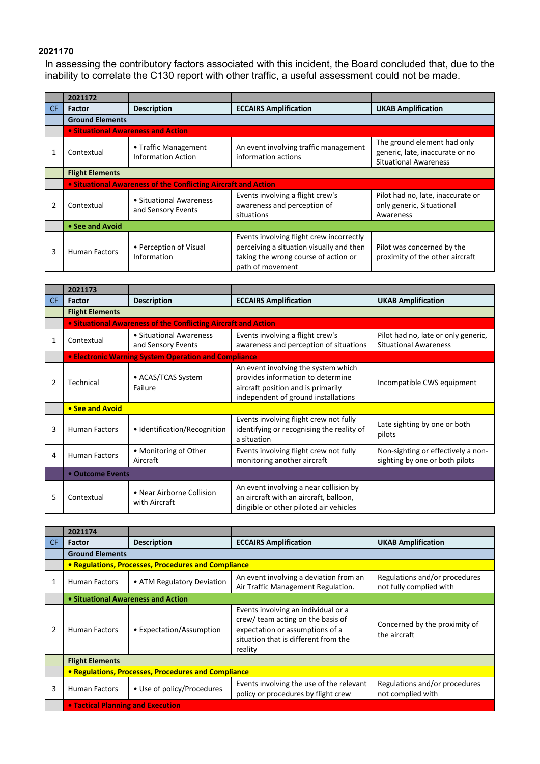## **2021170**

In assessing the contributory factors associated with this incident, the Board concluded that, due to the inability to correlate the C130 report with other traffic, a useful assessment could not be made.

|     | 2021172                            |                                                                |                                                                                                                                                  |                                                                                                |
|-----|------------------------------------|----------------------------------------------------------------|--------------------------------------------------------------------------------------------------------------------------------------------------|------------------------------------------------------------------------------------------------|
| CF. | <b>Factor</b>                      | <b>Description</b>                                             | <b>ECCAIRS Amplification</b>                                                                                                                     | <b>UKAB Amplification</b>                                                                      |
|     | <b>Ground Elements</b>             |                                                                |                                                                                                                                                  |                                                                                                |
|     | • Situational Awareness and Action |                                                                |                                                                                                                                                  |                                                                                                |
|     | Contextual                         | • Traffic Management<br><b>Information Action</b>              | An event involving traffic management<br>information actions                                                                                     | The ground element had only<br>generic, late, inaccurate or no<br><b>Situational Awareness</b> |
|     | <b>Flight Elements</b>             |                                                                |                                                                                                                                                  |                                                                                                |
|     |                                    | • Situational Awareness of the Conflicting Aircraft and Action |                                                                                                                                                  |                                                                                                |
| 2   | Contextual                         | • Situational Awareness<br>and Sensory Events                  | Events involving a flight crew's<br>awareness and perception of<br>situations                                                                    | Pilot had no, late, inaccurate or<br>only generic, Situational<br>Awareness                    |
|     | • See and Avoid                    |                                                                |                                                                                                                                                  |                                                                                                |
| 3   | <b>Human Factors</b>               | • Perception of Visual<br>Information                          | Events involving flight crew incorrectly<br>perceiving a situation visually and then<br>taking the wrong course of action or<br>path of movement | Pilot was concerned by the<br>proximity of the other aircraft                                  |

|           | 2021173                |                                                                |                                                                                                                                                       |                                                                      |  |  |
|-----------|------------------------|----------------------------------------------------------------|-------------------------------------------------------------------------------------------------------------------------------------------------------|----------------------------------------------------------------------|--|--|
| <b>CF</b> | Factor                 | <b>Description</b>                                             | <b>ECCAIRS Amplification</b>                                                                                                                          | <b>UKAB Amplification</b>                                            |  |  |
|           | <b>Flight Elements</b> |                                                                |                                                                                                                                                       |                                                                      |  |  |
|           |                        | • Situational Awareness of the Conflicting Aircraft and Action |                                                                                                                                                       |                                                                      |  |  |
|           | Contextual             | • Situational Awareness<br>and Sensory Events                  | Events involving a flight crew's<br>awareness and perception of situations                                                                            | Pilot had no, late or only generic,<br><b>Situational Awareness</b>  |  |  |
|           |                        | • Electronic Warning System Operation and Compliance           |                                                                                                                                                       |                                                                      |  |  |
| 2         | Technical              | • ACAS/TCAS System<br>Failure                                  | An event involving the system which<br>provides information to determine<br>aircraft position and is primarily<br>independent of ground installations | Incompatible CWS equipment                                           |  |  |
|           | • See and Avoid        |                                                                |                                                                                                                                                       |                                                                      |  |  |
| 3         | <b>Human Factors</b>   | • Identification/Recognition                                   | Events involving flight crew not fully<br>identifying or recognising the reality of<br>a situation                                                    | Late sighting by one or both<br>pilots                               |  |  |
| 4         | <b>Human Factors</b>   | • Monitoring of Other<br>Aircraft                              | Events involving flight crew not fully<br>monitoring another aircraft                                                                                 | Non-sighting or effectively a non-<br>sighting by one or both pilots |  |  |
|           | • Outcome Events       |                                                                |                                                                                                                                                       |                                                                      |  |  |
| 5         | Contextual             | • Near Airborne Collision<br>with Aircraft                     | An event involving a near collision by<br>an aircraft with an aircraft, balloon,<br>dirigible or other piloted air vehicles                           |                                                                      |  |  |

|     | 2021174                            |                                                     |                                                                                                                                                                |                                                          |
|-----|------------------------------------|-----------------------------------------------------|----------------------------------------------------------------------------------------------------------------------------------------------------------------|----------------------------------------------------------|
| CF. | <b>Factor</b>                      | <b>Description</b>                                  | <b>ECCAIRS Amplification</b>                                                                                                                                   | <b>UKAB Amplification</b>                                |
|     | <b>Ground Elements</b>             |                                                     |                                                                                                                                                                |                                                          |
|     |                                    | • Regulations, Processes, Procedures and Compliance |                                                                                                                                                                |                                                          |
|     | <b>Human Factors</b>               | • ATM Regulatory Deviation                          | An event involving a deviation from an<br>Air Traffic Management Regulation.                                                                                   | Regulations and/or procedures<br>not fully complied with |
|     | • Situational Awareness and Action |                                                     |                                                                                                                                                                |                                                          |
| 2   | <b>Human Factors</b>               | • Expectation/Assumption                            | Events involving an individual or a<br>crew/ team acting on the basis of<br>expectation or assumptions of a<br>situation that is different from the<br>reality | Concerned by the proximity of<br>the aircraft            |
|     | <b>Flight Elements</b>             |                                                     |                                                                                                                                                                |                                                          |
|     |                                    | • Regulations, Processes, Procedures and Compliance |                                                                                                                                                                |                                                          |
| 3   | <b>Human Factors</b>               | • Use of policy/Procedures                          | Events involving the use of the relevant<br>policy or procedures by flight crew                                                                                | Regulations and/or procedures<br>not complied with       |
|     | • Tactical Planning and Execution  |                                                     |                                                                                                                                                                |                                                          |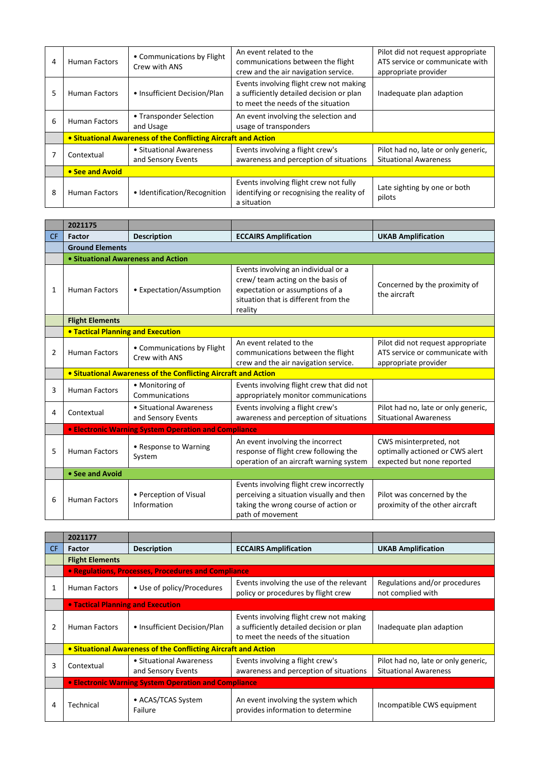| 4 | <b>Human Factors</b> | • Communications by Flight<br>Crew with ANS                    | An event related to the<br>communications between the flight<br>crew and the air navigation service.                      | Pilot did not request appropriate<br>ATS service or communicate with<br>appropriate provider |
|---|----------------------|----------------------------------------------------------------|---------------------------------------------------------------------------------------------------------------------------|----------------------------------------------------------------------------------------------|
| 5 | <b>Human Factors</b> | • Insufficient Decision/Plan                                   | Events involving flight crew not making<br>a sufficiently detailed decision or plan<br>to meet the needs of the situation | Inadequate plan adaption                                                                     |
| 6 | <b>Human Factors</b> | • Transponder Selection<br>and Usage                           | An event involving the selection and<br>usage of transponders                                                             |                                                                                              |
|   |                      | • Situational Awareness of the Conflicting Aircraft and Action |                                                                                                                           |                                                                                              |
|   | Contextual           | • Situational Awareness<br>and Sensory Events                  | Events involving a flight crew's<br>awareness and perception of situations                                                | Pilot had no, late or only generic,<br><b>Situational Awareness</b>                          |
|   | • See and Avoid      |                                                                |                                                                                                                           |                                                                                              |
| 8 | <b>Human Factors</b> | • Identification/Recognition                                   | Events involving flight crew not fully<br>identifying or recognising the reality of<br>a situation                        | Late sighting by one or both<br>pilots                                                       |

|                | 2021175                                  |                                                                       |                                                                                                                                                                |                                                                                              |  |  |
|----------------|------------------------------------------|-----------------------------------------------------------------------|----------------------------------------------------------------------------------------------------------------------------------------------------------------|----------------------------------------------------------------------------------------------|--|--|
| <b>CF</b>      | <b>Factor</b>                            | <b>Description</b>                                                    | <b>ECCAIRS Amplification</b>                                                                                                                                   | <b>UKAB Amplification</b>                                                                    |  |  |
|                | <b>Ground Elements</b>                   |                                                                       |                                                                                                                                                                |                                                                                              |  |  |
|                | • Situational Awareness and Action       |                                                                       |                                                                                                                                                                |                                                                                              |  |  |
| 1              | <b>Human Factors</b>                     | • Expectation/Assumption                                              | Events involving an individual or a<br>crew/ team acting on the basis of<br>expectation or assumptions of a<br>situation that is different from the<br>reality | Concerned by the proximity of<br>the aircraft                                                |  |  |
|                | <b>Flight Elements</b>                   |                                                                       |                                                                                                                                                                |                                                                                              |  |  |
|                | <b>. Tactical Planning and Execution</b> |                                                                       |                                                                                                                                                                |                                                                                              |  |  |
| $\overline{2}$ | <b>Human Factors</b>                     | • Communications by Flight<br>Crew with ANS                           | An event related to the<br>communications between the flight<br>crew and the air navigation service.                                                           | Pilot did not request appropriate<br>ATS service or communicate with<br>appropriate provider |  |  |
|                |                                          | <b>• Situational Awareness of the Conflicting Aircraft and Action</b> |                                                                                                                                                                |                                                                                              |  |  |
| $\overline{3}$ | <b>Human Factors</b>                     | • Monitoring of<br>Communications                                     | Events involving flight crew that did not<br>appropriately monitor communications                                                                              |                                                                                              |  |  |
| 4              | Contextual                               | • Situational Awareness<br>and Sensory Events                         | Events involving a flight crew's<br>awareness and perception of situations                                                                                     | Pilot had no, late or only generic,<br><b>Situational Awareness</b>                          |  |  |
|                |                                          | <b>• Electronic Warning System Operation and Compliance</b>           |                                                                                                                                                                |                                                                                              |  |  |
| 5              | <b>Human Factors</b>                     | • Response to Warning<br>System                                       | An event involving the incorrect<br>response of flight crew following the<br>operation of an aircraft warning system                                           | CWS misinterpreted, not<br>optimally actioned or CWS alert<br>expected but none reported     |  |  |
|                | • See and Avoid                          |                                                                       |                                                                                                                                                                |                                                                                              |  |  |
| 6              | <b>Human Factors</b>                     | • Perception of Visual<br>Information                                 | Events involving flight crew incorrectly<br>perceiving a situation visually and then<br>taking the wrong course of action or<br>path of movement               | Pilot was concerned by the<br>proximity of the other aircraft                                |  |  |

|                | 2021177                                              |                                                                |                                                                                                                           |                                                                     |
|----------------|------------------------------------------------------|----------------------------------------------------------------|---------------------------------------------------------------------------------------------------------------------------|---------------------------------------------------------------------|
| CF.            | <b>Factor</b>                                        | <b>Description</b>                                             | <b>ECCAIRS Amplification</b>                                                                                              | <b>UKAB Amplification</b>                                           |
|                | <b>Flight Elements</b>                               |                                                                |                                                                                                                           |                                                                     |
|                |                                                      | • Regulations, Processes, Procedures and Compliance            |                                                                                                                           |                                                                     |
| 1              | <b>Human Factors</b>                                 | • Use of policy/Procedures                                     | Events involving the use of the relevant<br>policy or procedures by flight crew                                           | Regulations and/or procedures<br>not complied with                  |
|                | • Tactical Planning and Execution                    |                                                                |                                                                                                                           |                                                                     |
| $\overline{2}$ | <b>Human Factors</b>                                 | • Insufficient Decision/Plan                                   | Events involving flight crew not making<br>a sufficiently detailed decision or plan<br>to meet the needs of the situation | Inadequate plan adaption                                            |
|                |                                                      | • Situational Awareness of the Conflicting Aircraft and Action |                                                                                                                           |                                                                     |
| 3              | Contextual                                           | • Situational Awareness<br>and Sensory Events                  | Events involving a flight crew's<br>awareness and perception of situations                                                | Pilot had no, late or only generic,<br><b>Situational Awareness</b> |
|                | • Electronic Warning System Operation and Compliance |                                                                |                                                                                                                           |                                                                     |
| 4              | Technical                                            | • ACAS/TCAS System<br>Failure                                  | An event involving the system which<br>provides information to determine                                                  | Incompatible CWS equipment                                          |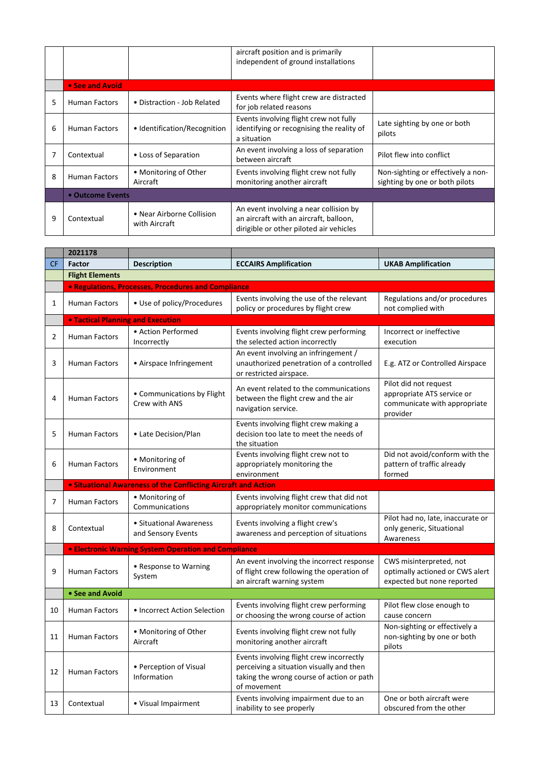|   |                      |                                            | aircraft position and is primarily<br>independent of ground installations                                                   |                                                                      |
|---|----------------------|--------------------------------------------|-----------------------------------------------------------------------------------------------------------------------------|----------------------------------------------------------------------|
|   | • See and Avoid      |                                            |                                                                                                                             |                                                                      |
| 5 | <b>Human Factors</b> | • Distraction - Job Related                | Events where flight crew are distracted<br>for job related reasons                                                          |                                                                      |
| 6 | <b>Human Factors</b> | • Identification/Recognition               | Events involving flight crew not fully<br>identifying or recognising the reality of<br>a situation                          | Late sighting by one or both<br>pilots                               |
|   | Contextual           | • Loss of Separation                       | An event involving a loss of separation<br>between aircraft                                                                 | Pilot flew into conflict                                             |
| 8 | <b>Human Factors</b> | • Monitoring of Other<br>Aircraft          | Events involving flight crew not fully<br>monitoring another aircraft                                                       | Non-sighting or effectively a non-<br>sighting by one or both pilots |
|   | • Outcome Events     |                                            |                                                                                                                             |                                                                      |
| 9 | Contextual           | • Near Airborne Collision<br>with Aircraft | An event involving a near collision by<br>an aircraft with an aircraft, balloon,<br>dirigible or other piloted air vehicles |                                                                      |

|                | 2021178                                  |                                                                       |                                                                                                                                                  |                                                                                                 |
|----------------|------------------------------------------|-----------------------------------------------------------------------|--------------------------------------------------------------------------------------------------------------------------------------------------|-------------------------------------------------------------------------------------------------|
| <b>CF</b>      | <b>Factor</b>                            | <b>Description</b>                                                    | <b>ECCAIRS Amplification</b>                                                                                                                     | <b>UKAB Amplification</b>                                                                       |
|                | <b>Flight Elements</b>                   |                                                                       |                                                                                                                                                  |                                                                                                 |
|                |                                          | • Regulations, Processes, Procedures and Compliance                   |                                                                                                                                                  |                                                                                                 |
| 1              | Human Factors                            | · Use of policy/Procedures                                            | Events involving the use of the relevant<br>policy or procedures by flight crew                                                                  | Regulations and/or procedures<br>not complied with                                              |
|                | <b>. Tactical Planning and Execution</b> |                                                                       |                                                                                                                                                  |                                                                                                 |
| 2              | Human Factors                            | • Action Performed<br>Incorrectly                                     | Events involving flight crew performing<br>the selected action incorrectly                                                                       | Incorrect or ineffective<br>execution                                                           |
| 3              | <b>Human Factors</b>                     | • Airspace Infringement                                               | An event involving an infringement /<br>unauthorized penetration of a controlled<br>or restricted airspace.                                      | E.g. ATZ or Controlled Airspace                                                                 |
| 4              | Human Factors                            | • Communications by Flight<br>Crew with ANS                           | An event related to the communications<br>between the flight crew and the air<br>navigation service.                                             | Pilot did not request<br>appropriate ATS service or<br>communicate with appropriate<br>provider |
| 5              | <b>Human Factors</b>                     | • Late Decision/Plan                                                  | Events involving flight crew making a<br>decision too late to meet the needs of<br>the situation                                                 |                                                                                                 |
| 6              | Human Factors                            | • Monitoring of<br>Environment                                        | Events involving flight crew not to<br>appropriately monitoring the<br>environment                                                               | Did not avoid/conform with the<br>pattern of traffic already<br>formed                          |
|                |                                          | <b>.</b> Situational Awareness of the Conflicting Aircraft and Action |                                                                                                                                                  |                                                                                                 |
| $\overline{7}$ | Human Factors                            | • Monitoring of<br>Communications                                     | Events involving flight crew that did not<br>appropriately monitor communications                                                                |                                                                                                 |
| 8              | Contextual                               | • Situational Awareness<br>and Sensory Events                         | Events involving a flight crew's<br>awareness and perception of situations                                                                       | Pilot had no, late, inaccurate or<br>only generic, Situational                                  |
|                |                                          |                                                                       |                                                                                                                                                  | Awareness                                                                                       |
|                |                                          | <b>• Electronic Warning System Operation and Compliance</b>           |                                                                                                                                                  |                                                                                                 |
| 9              | Human Factors                            | • Response to Warning<br>System                                       | An event involving the incorrect response<br>of flight crew following the operation of<br>an aircraft warning system                             | CWS misinterpreted, not<br>optimally actioned or CWS alert<br>expected but none reported        |
|                | • See and Avoid                          |                                                                       |                                                                                                                                                  |                                                                                                 |
| 10             | <b>Human Factors</b>                     | • Incorrect Action Selection                                          | Events involving flight crew performing<br>or choosing the wrong course of action                                                                | Pilot flew close enough to<br>cause concern                                                     |
| 11             | Human Factors                            | • Monitoring of Other<br>Aircraft                                     | Events involving flight crew not fully<br>monitoring another aircraft                                                                            | Non-sighting or effectively a<br>non-sighting by one or both<br>pilots                          |
| 12             | Human Factors                            | • Perception of Visual<br>Information                                 | Events involving flight crew incorrectly<br>perceiving a situation visually and then<br>taking the wrong course of action or path<br>of movement |                                                                                                 |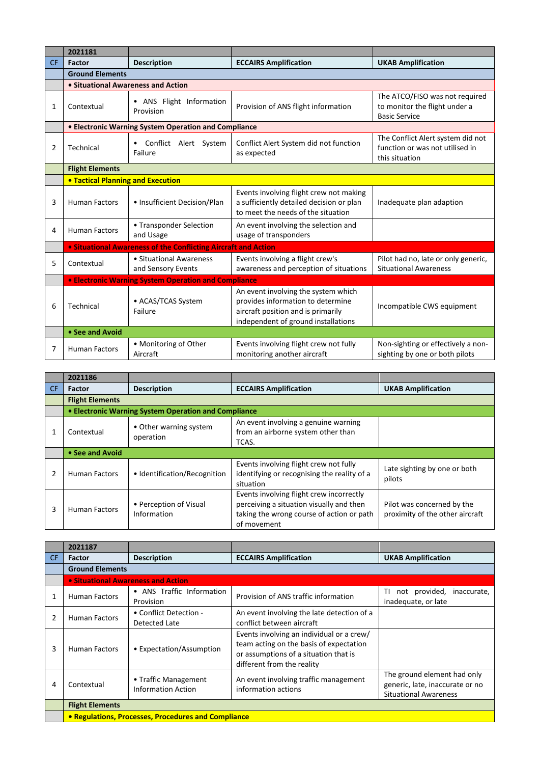|           | 2021181                                  |                                                                |                                                                                                                                                       |                                                                                         |  |
|-----------|------------------------------------------|----------------------------------------------------------------|-------------------------------------------------------------------------------------------------------------------------------------------------------|-----------------------------------------------------------------------------------------|--|
| <b>CF</b> | <b>Factor</b>                            | <b>Description</b>                                             | <b>ECCAIRS Amplification</b>                                                                                                                          | <b>UKAB Amplification</b>                                                               |  |
|           | <b>Ground Elements</b>                   |                                                                |                                                                                                                                                       |                                                                                         |  |
|           | • Situational Awareness and Action       |                                                                |                                                                                                                                                       |                                                                                         |  |
| 1         | Contextual                               | • ANS Flight Information<br>Provision                          | Provision of ANS flight information                                                                                                                   | The ATCO/FISO was not required<br>to monitor the flight under a<br><b>Basic Service</b> |  |
|           |                                          | • Electronic Warning System Operation and Compliance           |                                                                                                                                                       |                                                                                         |  |
| 2         | Technical                                | Conflict Alert System<br>Failure                               | Conflict Alert System did not function<br>as expected                                                                                                 | The Conflict Alert system did not<br>function or was not utilised in<br>this situation  |  |
|           | <b>Flight Elements</b>                   |                                                                |                                                                                                                                                       |                                                                                         |  |
|           | <b>• Tactical Planning and Execution</b> |                                                                |                                                                                                                                                       |                                                                                         |  |
| 3         | <b>Human Factors</b>                     | • Insufficient Decision/Plan                                   | Events involving flight crew not making<br>a sufficiently detailed decision or plan<br>to meet the needs of the situation                             | Inadequate plan adaption                                                                |  |
| 4         | <b>Human Factors</b>                     | • Transponder Selection<br>and Usage                           | An event involving the selection and<br>usage of transponders                                                                                         |                                                                                         |  |
|           |                                          | • Situational Awareness of the Conflicting Aircraft and Action |                                                                                                                                                       |                                                                                         |  |
| 5         | Contextual                               | • Situational Awareness<br>and Sensory Events                  | Events involving a flight crew's<br>awareness and perception of situations                                                                            | Pilot had no, late or only generic,<br><b>Situational Awareness</b>                     |  |
|           |                                          | <b>• Electronic Warning System Operation and Compliance</b>    |                                                                                                                                                       |                                                                                         |  |
| 6         | Technical                                | • ACAS/TCAS System<br>Failure                                  | An event involving the system which<br>provides information to determine<br>aircraft position and is primarily<br>independent of ground installations | Incompatible CWS equipment                                                              |  |
|           | • See and Avoid                          |                                                                |                                                                                                                                                       |                                                                                         |  |
| 7         | <b>Human Factors</b>                     | • Monitoring of Other<br>Aircraft                              | Events involving flight crew not fully<br>monitoring another aircraft                                                                                 | Non-sighting or effectively a non-<br>sighting by one or both pilots                    |  |

|    | 2021186                |                                                      |                                                                                                                                                  |                                                               |
|----|------------------------|------------------------------------------------------|--------------------------------------------------------------------------------------------------------------------------------------------------|---------------------------------------------------------------|
| CF | <b>Factor</b>          | <b>Description</b>                                   | <b>ECCAIRS Amplification</b>                                                                                                                     | <b>UKAB Amplification</b>                                     |
|    | <b>Flight Elements</b> |                                                      |                                                                                                                                                  |                                                               |
|    |                        | • Electronic Warning System Operation and Compliance |                                                                                                                                                  |                                                               |
|    | Contextual             | • Other warning system<br>operation                  | An event involving a genuine warning<br>from an airborne system other than<br>TCAS.                                                              |                                                               |
|    | • See and Avoid        |                                                      |                                                                                                                                                  |                                                               |
| 2  | <b>Human Factors</b>   | • Identification/Recognition                         | Events involving flight crew not fully<br>identifying or recognising the reality of a<br>situation                                               | Late sighting by one or both<br>pilots                        |
| 3  | <b>Human Factors</b>   | • Perception of Visual<br>Information                | Events involving flight crew incorrectly<br>perceiving a situation visually and then<br>taking the wrong course of action or path<br>of movement | Pilot was concerned by the<br>proximity of the other aircraft |

|                | 2021187                |                                                     |                                                                                                                                                             |                                                                                                |
|----------------|------------------------|-----------------------------------------------------|-------------------------------------------------------------------------------------------------------------------------------------------------------------|------------------------------------------------------------------------------------------------|
| CF.            | <b>Factor</b>          | <b>Description</b>                                  | <b>ECCAIRS Amplification</b>                                                                                                                                | <b>UKAB Amplification</b>                                                                      |
|                | <b>Ground Elements</b> |                                                     |                                                                                                                                                             |                                                                                                |
|                |                        | • Situational Awareness and Action                  |                                                                                                                                                             |                                                                                                |
| 1              | <b>Human Factors</b>   | • ANS Traffic Information<br>Provision              | Provision of ANS traffic information                                                                                                                        | ΤI<br>not provided,<br>inaccurate,<br>inadequate, or late                                      |
| $\overline{2}$ | <b>Human Factors</b>   | • Conflict Detection -<br>Detected Late             | An event involving the late detection of a<br>conflict between aircraft                                                                                     |                                                                                                |
| 3              | <b>Human Factors</b>   | • Expectation/Assumption                            | Events involving an individual or a crew/<br>team acting on the basis of expectation<br>or assumptions of a situation that is<br>different from the reality |                                                                                                |
| 4              | Contextual             | • Traffic Management<br><b>Information Action</b>   | An event involving traffic management<br>information actions                                                                                                | The ground element had only<br>generic, late, inaccurate or no<br><b>Situational Awareness</b> |
|                | <b>Flight Elements</b> |                                                     |                                                                                                                                                             |                                                                                                |
|                |                        | • Regulations, Processes, Procedures and Compliance |                                                                                                                                                             |                                                                                                |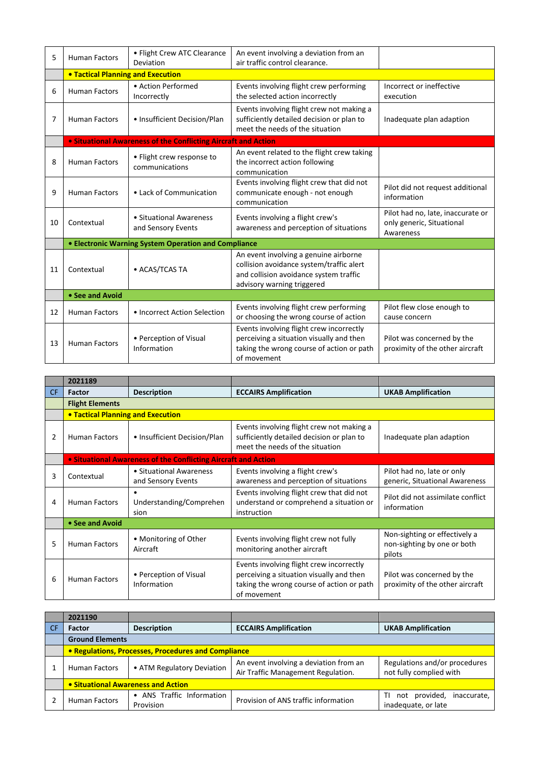| 5  | <b>Human Factors</b>                                 | • Flight Crew ATC Clearance<br>Deviation                       | An event involving a deviation from an<br>air traffic control clearance.                                                                                  |                                                                             |  |
|----|------------------------------------------------------|----------------------------------------------------------------|-----------------------------------------------------------------------------------------------------------------------------------------------------------|-----------------------------------------------------------------------------|--|
|    | <b>. Tactical Planning and Execution</b>             |                                                                |                                                                                                                                                           |                                                                             |  |
| 6  | <b>Human Factors</b>                                 | • Action Performed<br>Incorrectly                              | Events involving flight crew performing<br>the selected action incorrectly                                                                                | Incorrect or ineffective<br>execution                                       |  |
| 7  | <b>Human Factors</b>                                 | • Insufficient Decision/Plan                                   | Events involving flight crew not making a<br>sufficiently detailed decision or plan to<br>meet the needs of the situation                                 | Inadequate plan adaption                                                    |  |
|    |                                                      | • Situational Awareness of the Conflicting Aircraft and Action |                                                                                                                                                           |                                                                             |  |
| 8  | <b>Human Factors</b>                                 | • Flight crew response to<br>communications                    | An event related to the flight crew taking<br>the incorrect action following<br>communication                                                             |                                                                             |  |
| 9  | <b>Human Factors</b>                                 | • Lack of Communication                                        | Events involving flight crew that did not<br>communicate enough - not enough<br>communication                                                             | Pilot did not request additional<br>information                             |  |
| 10 | Contextual                                           | • Situational Awareness<br>and Sensory Events                  | Events involving a flight crew's<br>awareness and perception of situations                                                                                | Pilot had no, late, inaccurate or<br>only generic, Situational<br>Awareness |  |
|    | • Electronic Warning System Operation and Compliance |                                                                |                                                                                                                                                           |                                                                             |  |
| 11 | Contextual                                           | • ACAS/TCAS TA                                                 | An event involving a genuine airborne<br>collision avoidance system/traffic alert<br>and collision avoidance system traffic<br>advisory warning triggered |                                                                             |  |
|    | • See and Avoid                                      |                                                                |                                                                                                                                                           |                                                                             |  |
| 12 | <b>Human Factors</b>                                 | • Incorrect Action Selection                                   | Events involving flight crew performing<br>or choosing the wrong course of action                                                                         | Pilot flew close enough to<br>cause concern                                 |  |
| 13 | <b>Human Factors</b>                                 | • Perception of Visual<br>Information                          | Events involving flight crew incorrectly<br>perceiving a situation visually and then<br>taking the wrong course of action or path<br>of movement          | Pilot was concerned by the<br>proximity of the other aircraft               |  |

|                | 2021189                                                               |                                               |                                                                                                                                                  |                                                                        |  |  |
|----------------|-----------------------------------------------------------------------|-----------------------------------------------|--------------------------------------------------------------------------------------------------------------------------------------------------|------------------------------------------------------------------------|--|--|
| CF.            | <b>Factor</b>                                                         | <b>Description</b>                            | <b>ECCAIRS Amplification</b>                                                                                                                     | <b>UKAB Amplification</b>                                              |  |  |
|                | <b>Flight Elements</b>                                                |                                               |                                                                                                                                                  |                                                                        |  |  |
|                |                                                                       | <b>• Tactical Planning and Execution</b>      |                                                                                                                                                  |                                                                        |  |  |
| $\overline{2}$ | <b>Human Factors</b>                                                  | • Insufficient Decision/Plan                  | Events involving flight crew not making a<br>sufficiently detailed decision or plan to<br>meet the needs of the situation                        | Inadequate plan adaption                                               |  |  |
|                | <b>.</b> Situational Awareness of the Conflicting Aircraft and Action |                                               |                                                                                                                                                  |                                                                        |  |  |
| 3              | Contextual                                                            | • Situational Awareness<br>and Sensory Events | Events involving a flight crew's<br>awareness and perception of situations                                                                       | Pilot had no, late or only<br>generic, Situational Awareness           |  |  |
| 4              | <b>Human Factors</b>                                                  | Understanding/Comprehen<br>sion               | Events involving flight crew that did not<br>understand or comprehend a situation or<br>instruction                                              | Pilot did not assimilate conflict<br>information                       |  |  |
|                | • See and Avoid                                                       |                                               |                                                                                                                                                  |                                                                        |  |  |
| 5              | <b>Human Factors</b>                                                  | • Monitoring of Other<br>Aircraft             | Events involving flight crew not fully<br>monitoring another aircraft                                                                            | Non-sighting or effectively a<br>non-sighting by one or both<br>pilots |  |  |
| 6              | <b>Human Factors</b>                                                  | • Perception of Visual<br>Information         | Events involving flight crew incorrectly<br>perceiving a situation visually and then<br>taking the wrong course of action or path<br>of movement | Pilot was concerned by the<br>proximity of the other aircraft          |  |  |

|    | 2021190                                             |                                      |                                                                              |                                                           |  |
|----|-----------------------------------------------------|--------------------------------------|------------------------------------------------------------------------------|-----------------------------------------------------------|--|
| CF | Factor                                              | <b>Description</b>                   | <b>ECCAIRS Amplification</b>                                                 | <b>UKAB Amplification</b>                                 |  |
|    | <b>Ground Elements</b>                              |                                      |                                                                              |                                                           |  |
|    | • Regulations, Processes, Procedures and Compliance |                                      |                                                                              |                                                           |  |
|    | <b>Human Factors</b>                                | • ATM Regulatory Deviation           | An event involving a deviation from an<br>Air Traffic Management Regulation. | Regulations and/or procedures<br>not fully complied with  |  |
|    | • Situational Awareness and Action                  |                                      |                                                                              |                                                           |  |
|    | <b>Human Factors</b>                                | ANS Traffic Information<br>Provision | Provision of ANS traffic information                                         | not provided,<br>inaccurate,<br>ΤI<br>inadequate, or late |  |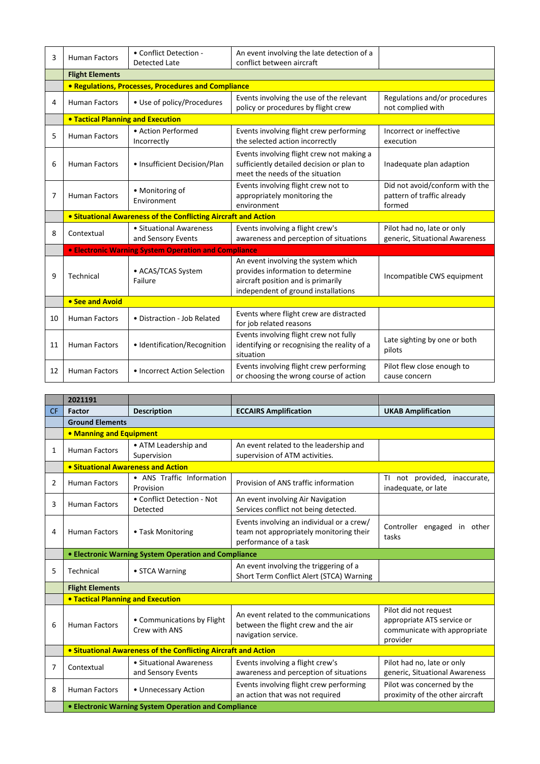| 3  | <b>Human Factors</b>                                                  | • Conflict Detection -<br><b>Detected Late</b> | An event involving the late detection of a<br>conflict between aircraft                                                                               |                                                                        |  |  |
|----|-----------------------------------------------------------------------|------------------------------------------------|-------------------------------------------------------------------------------------------------------------------------------------------------------|------------------------------------------------------------------------|--|--|
|    | <b>Flight Elements</b>                                                |                                                |                                                                                                                                                       |                                                                        |  |  |
|    | <b>• Regulations, Processes, Procedures and Compliance</b>            |                                                |                                                                                                                                                       |                                                                        |  |  |
| 4  | <b>Human Factors</b>                                                  | • Use of policy/Procedures                     | Events involving the use of the relevant<br>policy or procedures by flight crew                                                                       | Regulations and/or procedures<br>not complied with                     |  |  |
|    | <b>. Tactical Planning and Execution</b>                              |                                                |                                                                                                                                                       |                                                                        |  |  |
| 5  | <b>Human Factors</b>                                                  | • Action Performed<br>Incorrectly              | Events involving flight crew performing<br>the selected action incorrectly                                                                            | Incorrect or ineffective<br>execution                                  |  |  |
| 6  | <b>Human Factors</b>                                                  | • Insufficient Decision/Plan                   | Events involving flight crew not making a<br>sufficiently detailed decision or plan to<br>meet the needs of the situation                             | Inadequate plan adaption                                               |  |  |
| 7  | <b>Human Factors</b>                                                  | • Monitoring of<br>Environment                 | Events involving flight crew not to<br>appropriately monitoring the<br>environment                                                                    | Did not avoid/conform with the<br>pattern of traffic already<br>formed |  |  |
|    | <b>• Situational Awareness of the Conflicting Aircraft and Action</b> |                                                |                                                                                                                                                       |                                                                        |  |  |
| 8  | Contextual                                                            | • Situational Awareness<br>and Sensory Events  | Events involving a flight crew's<br>awareness and perception of situations                                                                            | Pilot had no, late or only<br>generic, Situational Awareness           |  |  |
|    | <b>• Electronic Warning System Operation and Compliance</b>           |                                                |                                                                                                                                                       |                                                                        |  |  |
| 9  | Technical                                                             | • ACAS/TCAS System<br>Failure                  | An event involving the system which<br>provides information to determine<br>aircraft position and is primarily<br>independent of ground installations | Incompatible CWS equipment                                             |  |  |
|    | • See and Avoid                                                       |                                                |                                                                                                                                                       |                                                                        |  |  |
| 10 | <b>Human Factors</b>                                                  | • Distraction - Job Related                    | Events where flight crew are distracted<br>for job related reasons                                                                                    |                                                                        |  |  |
| 11 | <b>Human Factors</b>                                                  | · Identification/Recognition                   | Events involving flight crew not fully<br>identifying or recognising the reality of a<br>situation                                                    | Late sighting by one or both<br>pilots                                 |  |  |
| 12 | <b>Human Factors</b>                                                  | • Incorrect Action Selection                   | Events involving flight crew performing<br>or choosing the wrong course of action                                                                     | Pilot flew close enough to<br>cause concern                            |  |  |

|           | 2021191                                                        |                                               |                                                                                                               |                                                                                                 |  |  |
|-----------|----------------------------------------------------------------|-----------------------------------------------|---------------------------------------------------------------------------------------------------------------|-------------------------------------------------------------------------------------------------|--|--|
| <b>CF</b> | <b>Factor</b>                                                  | <b>Description</b>                            | <b>ECCAIRS Amplification</b>                                                                                  | <b>UKAB Amplification</b>                                                                       |  |  |
|           | <b>Ground Elements</b>                                         |                                               |                                                                                                               |                                                                                                 |  |  |
|           |                                                                | • Manning and Equipment                       |                                                                                                               |                                                                                                 |  |  |
| 1         | <b>Human Factors</b>                                           | • ATM Leadership and<br>Supervision           | An event related to the leadership and<br>supervision of ATM activities.                                      |                                                                                                 |  |  |
|           | • Situational Awareness and Action                             |                                               |                                                                                                               |                                                                                                 |  |  |
| 2         | <b>Human Factors</b>                                           | • ANS Traffic Information<br>Provision        | Provision of ANS traffic information                                                                          | not provided,<br>TI.<br>inaccurate,<br>inadequate, or late                                      |  |  |
| 3         | <b>Human Factors</b>                                           | • Conflict Detection - Not<br>Detected        | An event involving Air Navigation<br>Services conflict not being detected.                                    |                                                                                                 |  |  |
| 4         | <b>Human Factors</b>                                           | • Task Monitoring                             | Events involving an individual or a crew/<br>team not appropriately monitoring their<br>performance of a task | Controller engaged in other<br>tasks                                                            |  |  |
|           | • Electronic Warning System Operation and Compliance           |                                               |                                                                                                               |                                                                                                 |  |  |
| 5         | Technical                                                      | • STCA Warning                                | An event involving the triggering of a<br>Short Term Conflict Alert (STCA) Warning                            |                                                                                                 |  |  |
|           | <b>Flight Elements</b>                                         |                                               |                                                                                                               |                                                                                                 |  |  |
|           | <b>. Tactical Planning and Execution</b>                       |                                               |                                                                                                               |                                                                                                 |  |  |
| 6         | <b>Human Factors</b>                                           | • Communications by Flight<br>Crew with ANS   | An event related to the communications<br>between the flight crew and the air<br>navigation service.          | Pilot did not request<br>appropriate ATS service or<br>communicate with appropriate<br>provider |  |  |
|           | • Situational Awareness of the Conflicting Aircraft and Action |                                               |                                                                                                               |                                                                                                 |  |  |
| 7         | Contextual                                                     | • Situational Awareness<br>and Sensory Events | Events involving a flight crew's<br>awareness and perception of situations                                    | Pilot had no, late or only<br>generic, Situational Awareness                                    |  |  |
| 8         | <b>Human Factors</b>                                           | • Unnecessary Action                          | Events involving flight crew performing<br>an action that was not required                                    | Pilot was concerned by the<br>proximity of the other aircraft                                   |  |  |
|           | • Electronic Warning System Operation and Compliance           |                                               |                                                                                                               |                                                                                                 |  |  |